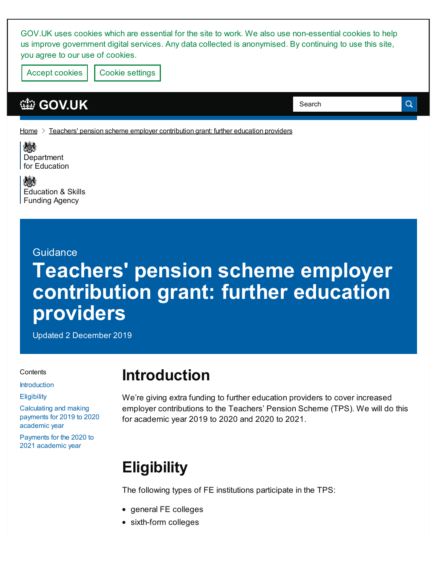GOV.UK uses cookies which are essential for the site to work. We also use non-essential cookies to help us improve government digital services. Any data collected is anonymised. By continuing to use this site, you agree to our use of cookies.

Accept cookies | Cookie [settings](https://www.gov.uk/help/cookies)

### **[GOV.UK](https://www.gov.uk)**

 $H$ ome  $\geq$  Teachers' pension scheme employer [contribution](https://www.gov.uk/government/publications/teachers-pension-scheme-employer-contribution-grant-further-education-providers) grant: further education providers

戀 **[Department](https://www.gov.uk/government/organisations/department-for-education)** for Education

戀 [Education](https://www.gov.uk/government/organisations/education-and-skills-funding-agency) & Skills Funding Agency

#### Guidance

# **Teachers' pension scheme employer contribution grant: further education providers**

Updated 2 December 2019

#### **Contents**

[Introduction](#page-0-0)

**[Eligibility](#page-0-1)** 

[Calculating](#page-1-0) and making payments for 2019 to 2020 academic year

[Payments](#page-2-0) for the 2020 to 2021 academic year

# <span id="page-0-0"></span>**Introduction**

We're giving extra funding to further education providers to cover increased employer contributions to the Teachers' Pension Scheme (TPS). We will do this for academic year 2019 to 2020 and 2020 to 2021.

Search

Q

# <span id="page-0-1"></span>**Eligibility**

The following types of FE institutions participate in the TPS:

- general FE colleges
- sixth-form colleges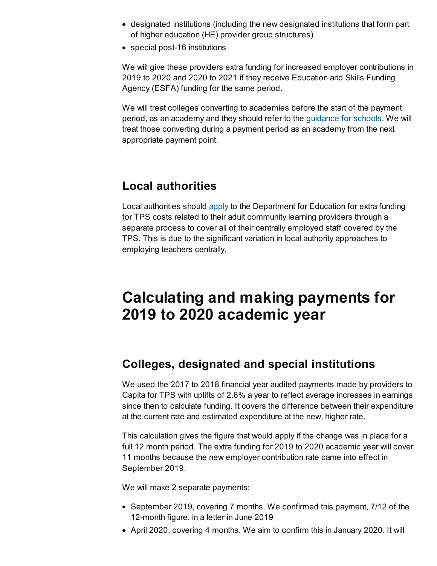- designated institutions (including the new designated institutions that form part of higher education (HE) provider group structures)
- special post-16 institutions

We will give these providers extra funding for increased employer contributions in 2019 to 2020 and 2020 to 2021 if they receive Education and Skills Funding Agency (ESFA) funding for the same period.

We will treat colleges converting to academies before the start of the payment period, as an academy and they should refer to the [guidance](https://www.gov.uk/government/publications/teachers-pension-employer-contribution-grant-tpecg) for schools. We will treat those converting during a payment period as an academy from the next appropriate payment point.

### **Local authorities**

Local authorities should [apply](https://www.gov.uk/government/publications/pension-grant-2019-to-2020-allocations-and-supplementary-fund) to the Department for Education for extra funding for TPS costs related to their adult community learning providers through a separate process to cover all of their centrally employed staff covered by the TPS. This is due to the significant variation in local authority approaches to employing teachers centrally.

## <span id="page-1-0"></span>**Calculating and making payments for 2019 to 2020 academic year**

### **Colleges, designated and special institutions**

We used the 2017 to 2018 financial year audited payments made by providers to Capita for TPS with uplifts of 2.6% a year to reflect average increases in earnings since then to calculate funding. It covers the difference between their expenditure at the current rate and estimated expenditure at the new, higher rate.

This calculation gives the figure that would apply if the change was in place for a full 12 month period. The extra funding for 2019 to 2020 academic year will cover 11 months because the new employer contribution rate came into effect in September 2019.

We will make 2 separate payments:

- September 2019, covering 7 months. We confirmed this payment, 7/12 of the 12-month figure, in a letter in June 2019
- April 2020, covering 4 months. We aim to confirm this in January 2020. It will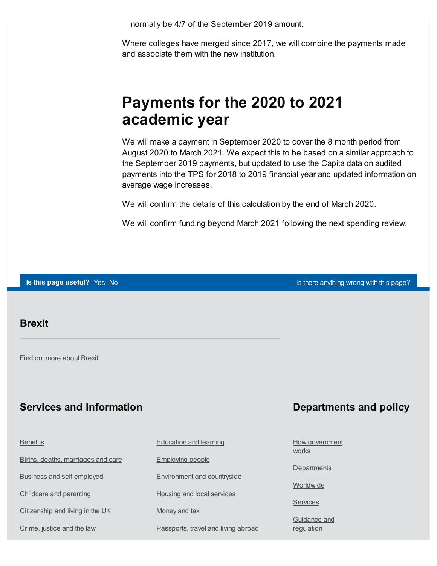normally be 4/7 of the September 2019 amount.

Where colleges have merged since 2017, we will combine the payments made and associate them with the new institution.

### <span id="page-2-0"></span>**Payments for the 2020 to 2021 academic year**

We will make a payment in September 2020 to cover the 8 month period from August 2020 to March 2021. We expect this to be based on a similar approach to the September 2019 payments, but updated to use the Capita data on audited payments into the TPS for 2018 to 2019 financial year and updated information on average wage increases.

We will confirm the details of this calculation by the end of March 2020.

We will confirm funding beyond March 2021 following the next spending review.

**Is this page useful?** [Yes](https://www.gov.uk/contact/govuk) [No](https://www.gov.uk/contact/govuk) Is there [anything](https://www.gov.uk/contact/govuk) wrong with this page?

#### **Brexit**

Find out more [about](https://www.gov.uk/brexit) Brexit

### **Services and information**

| <b>Benefits</b>                    | <b>Education and learning</b>       |
|------------------------------------|-------------------------------------|
| Births, deaths, marriages and care | <b>Employing people</b>             |
| <b>Business and self-employed</b>  | <b>Environment and countryside</b>  |
| Childcare and parenting            | <b>Housing and local services</b>   |
| Citizenship and living in the UK   | Money and tax                       |
| Crime, justice and the law         | Passports, travel and living abroad |

### **Departments and policy**

How [government](https://www.gov.uk/government/how-government-works) works

**[Departments](https://www.gov.uk/government/organisations)** 

**[Worldwide](https://www.gov.uk/world)** 

**[Services](https://www.gov.uk/search/services)** 

[Guidance](https://www.gov.uk/search/guidance-and-regulation) and regulation